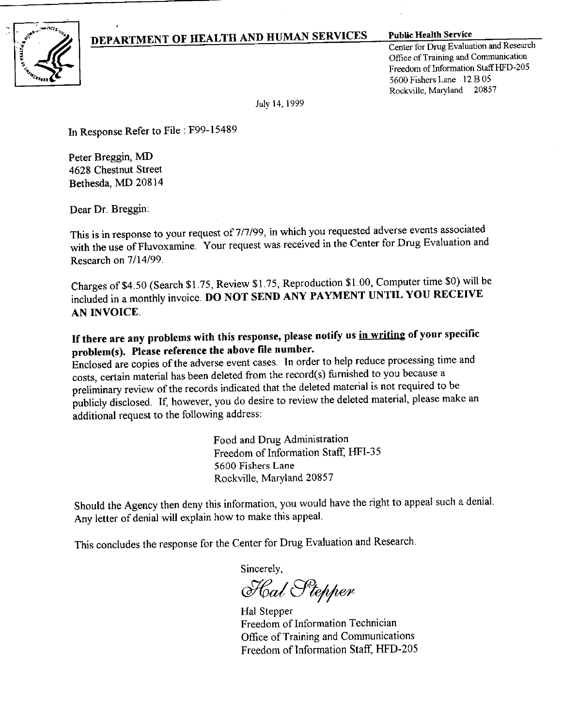## DEPARTMENT OF HEALTH AND HUMAN SERVICES Public Health Service



Center for Drug Evaluation and Research Office of Training and Communication Freedom of Information Staff HFD-205 5600 Fishers Lane 12 B 05 Rockville, Maryland 20857

July 14, 1999

In Response Refer to File: F99-15489

Peter Breggin, MD 4628 Chestnut Street Bethesda, MD 20814

Dear Dr. Breggin:

This is in response to your request of 7/7/99, in which you requested adverse events associated with the use of Fluvoxamine. Your request was received in the Center for Drug Evaluation and Research on 7/14/99.

Charges of\$4.50 (Search \$1.75, Review \$1.75, Reproduction \$1.00, Computer time \$0) will be included in a monthly invoice. DO NOT SEND ANY PAYMENT UNTIL YOU RECEIVE AN INVOICE.

If there are any problems with this response, please notify us in writing of your specific problem(s). Please reference the above file number.

Enclosed are copies of the adverse event cases. In order to help reduce processing time and costs, certain material has been deleted from the record(s) furnished to you because a preliminary review of the records indicated that the deleted material is not required to be publicly disclosed. If, however, you do desire to review the deleted material, please make an additional request to the following address:

> Food and Drug Administration Freedom of Information Staff, HFI-35 5600 Fishers Lane Rockville, Maryland 20857

Should the Agency then deny this information, you would have the right to appeal such a denial. Any letter of denial will explain how to make this appeal.

This concludes the response for the Center for Drug Evaluation and Research.

Sincerely,

Hal Stepper

Hal Stepper Freedom of Information Technician Office of Training and Communications Freedom of Information Staff, HFD-205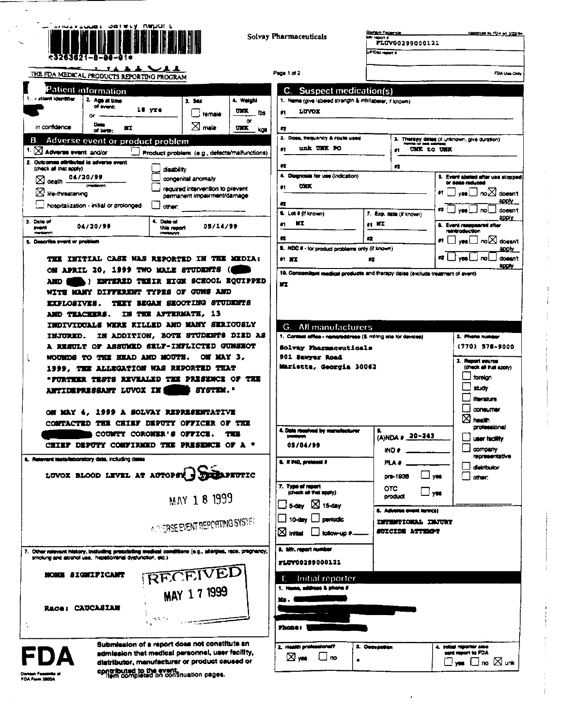

Solvay Pharmaceuticals

Page

| Domain Fectury is       | Approved by FDA on 3/22/94 |
|-------------------------|----------------------------|
| Mir report a            |                            |
| FLOV00299000121         |                            |
| <b>UF Disk report 4</b> |                            |
|                         |                            |

THE FDA MEDICAL PRODUCTS REPORTING PROGRAM

| - stient identitier                                                                                                      | 2. Age at time<br>of event:<br>œ                   | 16 yrs                                       | 3. Sex<br>female                                                                      | 4. Weight<br><b>UMX</b><br>ľЬэ |
|--------------------------------------------------------------------------------------------------------------------------|----------------------------------------------------|----------------------------------------------|---------------------------------------------------------------------------------------|--------------------------------|
| in configence                                                                                                            | D MAR<br><b>ATT</b><br>of birth:                   |                                              | $\boxtimes$ male                                                                      | ۵r<br>um<br>kas                |
|                                                                                                                          | B. Adverse event or product problem                |                                              |                                                                                       |                                |
| Adverse event and/or                                                                                                     |                                                    | Product problem (e.g., defects/maifunctions) |                                                                                       |                                |
| 2. Outcomes attributed to adverse event<br>(check all that apply)<br>$\boxtimes$ death .<br>$\boxtimes$ life-threatening | 04/20/99<br>hospitalization - initial or prolonged | disability<br>other.                         | concenital anomaly<br>required intervention to prevent<br>permanent impairment/damage |                                |
| 3. Date of<br><b>Present</b><br><b><i>Production</i></b>                                                                 | 04/20/99                                           | 4. Data of<br>this moont<br>Imarian www      | 05/14/99                                                                              |                                |
| 5. Deacribe event or problem                                                                                             |                                                    |                                              |                                                                                       |                                |

ON APRIL 20, 1999 TWO MALE STUDENTS ( ) ENTERED THEIR HIGH SCHOOL EQUIPPED **AND** WITE MANY DIFFERENT TYPES OF GUNS AND EXPLOSIVES. THEY BEGAN SHOOTING STUDENTS AND TEACHERS. IN THE AFTERMATE, 13 INDIVIDUALS WERE KILLED AND MANY SERIOUSLY INJURED. IN ADDITION, BOTE STUDENTS DIED AS A RESULT OF ASSUMED SELF-INFLICTED GUNSEOT NOUNDS TO THE HEAD AND MOUTH. ON MAY 3, 1999, THE ALLEGATION WAS REPORTED THAT "FORTHER TESTS REVEALED THE PRESENCE OF THE ANTIDEPRESSANT LUVOX IN SYSTEM."

ON MAY 4, 1999 A SOLVAY REPRESENTATIVE CONTACTED THE CHIEF DEPUTY OFFICER OF THE COUNTY CORONER'S OFFICE. THE CHIEF DEPUTY CONFIRMED THE PRESENCE OF A \*

6. Relevant tests/isborstory date, including dates

 $\mathbf{I}$ 

LUVOX BLOOD LEVEL AT AUTOPSY BELOPEUTIC MAY 18 1999

**A THERSE EVENT REPORTING SYSTER** 

RECEIVED

MAY 17 1999

Other relevant history, including presideling medical co. 7. Other red isling medical conditions (e.g., allergies, race, pregnancy

NONE SIGNIFICANT

Race: CAUCASIAN

Submission of a report does not constitute an admission that medical personnel, user facility, distributor, manufacturer or product caused or contributed to the event.<br>Them completed on continuation pages.

Domain Fasalmille<br>FDA Form 3800A

| 00 O 1 O 1 2                                                                                                                                             |       |                          |             | FDA Um O                                   |  |
|----------------------------------------------------------------------------------------------------------------------------------------------------------|-------|--------------------------|-------------|--------------------------------------------|--|
| <b>Suspect medication(s)</b><br>С.                                                                                                                       |       |                          |             |                                            |  |
| 1. Name (give labeled strength & mfr/labeler, if known)                                                                                                  |       |                          |             |                                            |  |
| LUVOX<br>81                                                                                                                                              |       |                          |             |                                            |  |
| 42                                                                                                                                                       |       |                          |             |                                            |  |
| 2. Does, frequency & route used                                                                                                                          |       | з.                       |             | Therapy dates (if unknown, give duration)  |  |
| unk UNK PO<br>61                                                                                                                                         |       | m                        | UNK to UNK  |                                            |  |
| 42                                                                                                                                                       |       | 72                       |             |                                            |  |
| 4. Diagnosis for use (indication)                                                                                                                        |       |                          |             | 5. Event abound after use stoppe           |  |
| <b>UNK</b><br>$^{\bullet}1$                                                                                                                              |       |                          |             | or does reduced                            |  |
| $\bullet$                                                                                                                                                |       |                          | ÷۱          | noi∆ doesn'<br>yos i<br>apply              |  |
| 6. Lot # (If known)                                                                                                                                      |       | 7. Exp. date (if known)  | 42          | doesn'<br>yes                              |  |
| ИT<br>m                                                                                                                                                  | 61 MI |                          |             | apply.<br>8. Event responsived shart       |  |
| 42                                                                                                                                                       | 42    |                          | 81 I        | reintroduction                             |  |
| 9. NDC # - for product problems only (if known)                                                                                                          |       |                          |             | yes LJ no XI doesn'<br>apoly.              |  |
| <b>81 NT</b>                                                                                                                                             | 62    |                          | <b>12</b> I | doesn'<br>m<br>ygg                         |  |
| 10. Concomitent medical products and therapy dates (exclude treatment of event)                                                                          |       |                          |             | apoty                                      |  |
| All manufacturers<br>G.                                                                                                                                  |       |                          |             |                                            |  |
| 1. Contact office - nemeteddress (& miting site for devices)                                                                                             |       |                          |             |                                            |  |
| Solvay Fharmaceuticals                                                                                                                                   |       |                          |             | 2. Phone number                            |  |
|                                                                                                                                                          |       |                          |             | $(770)$ 578-9000                           |  |
| 901 Sawyer Road                                                                                                                                          |       |                          |             |                                            |  |
|                                                                                                                                                          |       |                          |             | 3. Report source<br>(check all that apply) |  |
|                                                                                                                                                          |       |                          |             | toraign                                    |  |
|                                                                                                                                                          |       |                          |             | study                                      |  |
|                                                                                                                                                          |       |                          |             | <b>literature</b>                          |  |
|                                                                                                                                                          |       |                          |             | <b><i><u>CONSUMER</u></i></b>              |  |
|                                                                                                                                                          |       |                          |             | ×<br>health                                |  |
| <b><i><u>Impression</u></i></b>                                                                                                                          | в.    |                          |             | professional                               |  |
| 05/04/99                                                                                                                                                 |       | (A)NDA # 20-243<br>IND # |             | user facility<br>company                   |  |
|                                                                                                                                                          |       | PLA #                    |             | representative                             |  |
|                                                                                                                                                          |       | pre-1930                 | YM.         | distributor                                |  |
| Marietta, Georgia 30062                                                                                                                                  |       |                          |             | other                                      |  |
| 4. Date received by manufacturer<br><b>U. If IND, protocol #</b><br>7. Type of report<br>(check all that apply)<br>$\square$ S-day<br>$\boxtimes$ 15-day |       | отс<br>product           | <b>yes</b>  |                                            |  |

 $\Box$  10-day  $\Box$  periodic **INTERFIONAL INJURY**  $\boxtimes$  Initial  $\Box$  follow-up #. SUICIDE ATTECT

8. Mfr. report number FLUV00299000121

| E Initial reporter         |               |                           |
|----------------------------|---------------|---------------------------|
| 1. Name, address & phone # |               |                           |
| m.                         |               |                           |
|                            |               |                           |
|                            |               |                           |
| Phone:                     |               |                           |
| 2. Health professional?    | 3. Occupation | 4. Initial reporter sieo. |
| □∞<br>⊠∞                   |               | sent report to FDA        |
|                            | ٠             | <b>↓ □</b> no ⊠ unk       |